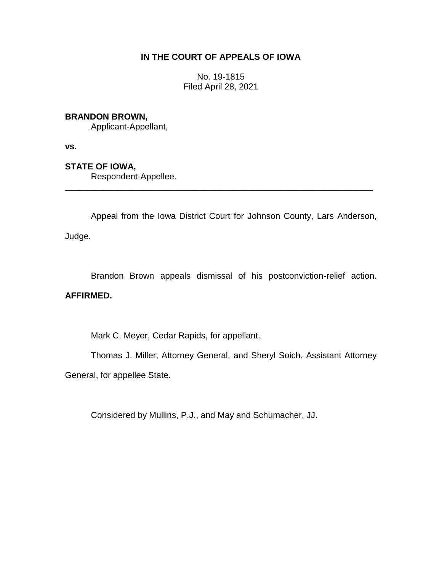# **IN THE COURT OF APPEALS OF IOWA**

No. 19-1815 Filed April 28, 2021

# **BRANDON BROWN,**

Applicant-Appellant,

**vs.**

# **STATE OF IOWA,**

Respondent-Appellee.

Appeal from the Iowa District Court for Johnson County, Lars Anderson,

\_\_\_\_\_\_\_\_\_\_\_\_\_\_\_\_\_\_\_\_\_\_\_\_\_\_\_\_\_\_\_\_\_\_\_\_\_\_\_\_\_\_\_\_\_\_\_\_\_\_\_\_\_\_\_\_\_\_\_\_\_\_\_\_

Judge.

Brandon Brown appeals dismissal of his postconviction-relief action.

# **AFFIRMED.**

Mark C. Meyer, Cedar Rapids, for appellant.

Thomas J. Miller, Attorney General, and Sheryl Soich, Assistant Attorney

General, for appellee State.

Considered by Mullins, P.J., and May and Schumacher, JJ.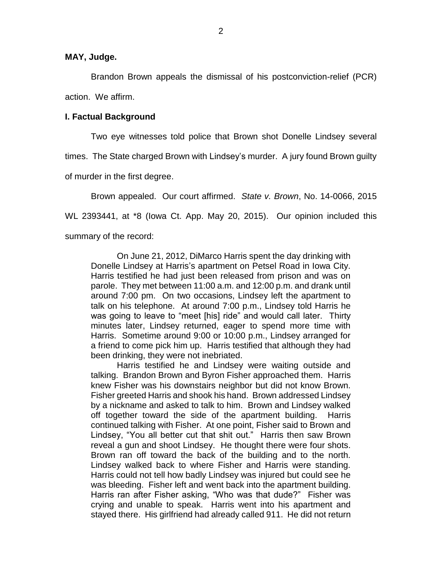**MAY, Judge.**

Brandon Brown appeals the dismissal of his postconviction-relief (PCR) action. We affirm.

### **I. Factual Background**

Two eye witnesses told police that Brown shot Donelle Lindsey several times. The State charged Brown with Lindsey's murder. A jury found Brown guilty of murder in the first degree.

Brown appealed. Our court affirmed. *State v. Brown*, No. 14-0066, 2015 WL 2393441, at \*8 (Iowa Ct. App. May 20, 2015). Our opinion included this summary of the record:

On June 21, 2012, DiMarco Harris spent the day drinking with Donelle Lindsey at Harris's apartment on Petsel Road in Iowa City. Harris testified he had just been released from prison and was on parole. They met between 11:00 a.m. and 12:00 p.m. and drank until around 7:00 pm. On two occasions, Lindsey left the apartment to talk on his telephone. At around 7:00 p.m., Lindsey told Harris he was going to leave to "meet [his] ride" and would call later. Thirty minutes later, Lindsey returned, eager to spend more time with Harris. Sometime around 9:00 or 10:00 p.m., Lindsey arranged for a friend to come pick him up. Harris testified that although they had been drinking, they were not inebriated.

Harris testified he and Lindsey were waiting outside and talking. Brandon Brown and Byron Fisher approached them. Harris knew Fisher was his downstairs neighbor but did not know Brown. Fisher greeted Harris and shook his hand. Brown addressed Lindsey by a nickname and asked to talk to him. Brown and Lindsey walked off together toward the side of the apartment building. Harris continued talking with Fisher. At one point, Fisher said to Brown and Lindsey, "You all better cut that shit out." Harris then saw Brown reveal a gun and shoot Lindsey. He thought there were four shots. Brown ran off toward the back of the building and to the north. Lindsey walked back to where Fisher and Harris were standing. Harris could not tell how badly Lindsey was injured but could see he was bleeding. Fisher left and went back into the apartment building. Harris ran after Fisher asking, "Who was that dude?" Fisher was crying and unable to speak. Harris went into his apartment and stayed there. His girlfriend had already called 911. He did not return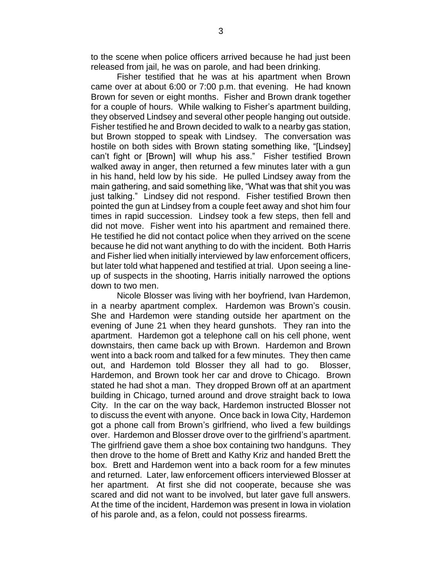to the scene when police officers arrived because he had just been released from jail, he was on parole, and had been drinking.

Fisher testified that he was at his apartment when Brown came over at about 6:00 or 7:00 p.m. that evening. He had known Brown for seven or eight months. Fisher and Brown drank together for a couple of hours. While walking to Fisher's apartment building, they observed Lindsey and several other people hanging out outside. Fisher testified he and Brown decided to walk to a nearby gas station, but Brown stopped to speak with Lindsey. The conversation was hostile on both sides with Brown stating something like, "[Lindsey] can't fight or [Brown] will whup his ass." Fisher testified Brown walked away in anger, then returned a few minutes later with a gun in his hand, held low by his side. He pulled Lindsey away from the main gathering, and said something like, "What was that shit you was just talking." Lindsey did not respond. Fisher testified Brown then pointed the gun at Lindsey from a couple feet away and shot him four times in rapid succession. Lindsey took a few steps, then fell and did not move. Fisher went into his apartment and remained there. He testified he did not contact police when they arrived on the scene because he did not want anything to do with the incident. Both Harris and Fisher lied when initially interviewed by law enforcement officers, but later told what happened and testified at trial. Upon seeing a lineup of suspects in the shooting, Harris initially narrowed the options down to two men.

Nicole Blosser was living with her boyfriend, Ivan Hardemon, in a nearby apartment complex. Hardemon was Brown's cousin. She and Hardemon were standing outside her apartment on the evening of June 21 when they heard gunshots. They ran into the apartment. Hardemon got a telephone call on his cell phone, went downstairs, then came back up with Brown. Hardemon and Brown went into a back room and talked for a few minutes. They then came out, and Hardemon told Blosser they all had to go. Blosser, Hardemon, and Brown took her car and drove to Chicago. Brown stated he had shot a man. They dropped Brown off at an apartment building in Chicago, turned around and drove straight back to Iowa City. In the car on the way back, Hardemon instructed Blosser not to discuss the event with anyone. Once back in Iowa City, Hardemon got a phone call from Brown's girlfriend, who lived a few buildings over. Hardemon and Blosser drove over to the girlfriend's apartment. The girlfriend gave them a shoe box containing two handguns. They then drove to the home of Brett and Kathy Kriz and handed Brett the box. Brett and Hardemon went into a back room for a few minutes and returned. Later, law enforcement officers interviewed Blosser at her apartment. At first she did not cooperate, because she was scared and did not want to be involved, but later gave full answers. At the time of the incident, Hardemon was present in Iowa in violation of his parole and, as a felon, could not possess firearms.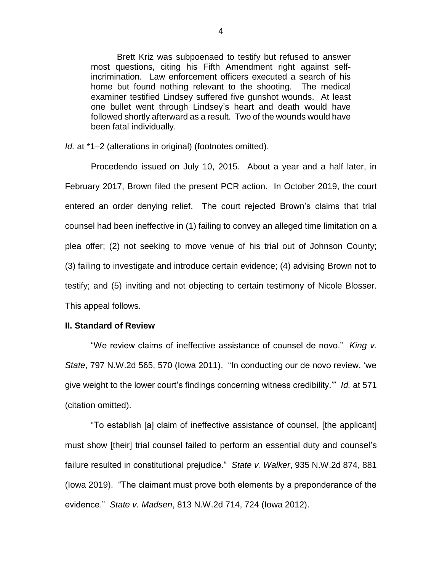Brett Kriz was subpoenaed to testify but refused to answer most questions, citing his Fifth Amendment right against selfincrimination. Law enforcement officers executed a search of his home but found nothing relevant to the shooting. The medical examiner testified Lindsey suffered five gunshot wounds. At least one bullet went through Lindsey's heart and death would have followed shortly afterward as a result. Two of the wounds would have been fatal individually.

*Id.* at \*1–2 (alterations in original) (footnotes omitted).

Procedendo issued on July 10, 2015. About a year and a half later, in February 2017, Brown filed the present PCR action. In October 2019, the court entered an order denying relief. The court rejected Brown's claims that trial counsel had been ineffective in (1) failing to convey an alleged time limitation on a plea offer; (2) not seeking to move venue of his trial out of Johnson County; (3) failing to investigate and introduce certain evidence; (4) advising Brown not to testify; and (5) inviting and not objecting to certain testimony of Nicole Blosser. This appeal follows.

# **II. Standard of Review**

"We review claims of ineffective assistance of counsel de novo." *King v. State*, 797 N.W.2d 565, 570 (Iowa 2011). "In conducting our de novo review, 'we give weight to the lower court's findings concerning witness credibility.'" *Id.* at 571 (citation omitted).

"To establish [a] claim of ineffective assistance of counsel, [the applicant] must show [their] trial counsel failed to perform an essential duty and counsel's failure resulted in constitutional prejudice." *State v. Walker*, 935 N.W.2d 874, 881 (Iowa 2019). "The claimant must prove both elements by a preponderance of the evidence." *State v. Madsen*, 813 N.W.2d 714, 724 (Iowa 2012).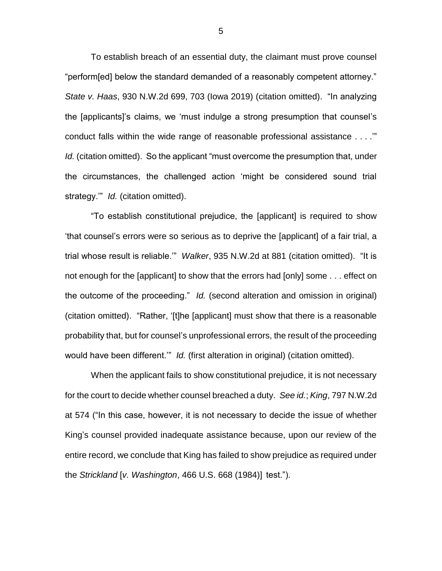To establish breach of an essential duty, the claimant must prove counsel "perform[ed] below the standard demanded of a reasonably competent attorney." *State v. Haas*, 930 N.W.2d 699, 703 (Iowa 2019) (citation omitted). "In analyzing the [applicants]'s claims, we 'must indulge a strong presumption that counsel's conduct falls within the wide range of reasonable professional assistance . . . .'" *Id.* (citation omitted). So the applicant "must overcome the presumption that, under the circumstances, the challenged action 'might be considered sound trial strategy." *Id.* (citation omitted).

"To establish constitutional prejudice, the [applicant] is required to show 'that counsel's errors were so serious as to deprive the [applicant] of a fair trial, a trial whose result is reliable.'" *Walker*, 935 N.W.2d at 881 (citation omitted). "It is not enough for the [applicant] to show that the errors had [only] some . . . effect on the outcome of the proceeding." *Id.* (second alteration and omission in original) (citation omitted). "Rather, '[t]he [applicant] must show that there is a reasonable probability that, but for counsel's unprofessional errors, the result of the proceeding would have been different.'" *Id.* (first alteration in original) (citation omitted).

When the applicant fails to show constitutional prejudice, it is not necessary for the court to decide whether counsel breached a duty. *See id.*; *King*, 797 N.W.2d at 574 ("In this case, however, it is not necessary to decide the issue of whether King's counsel provided inadequate assistance because, upon our review of the entire record, we conclude that King has failed to show prejudice as required under the *Strickland* [*v. Washington*, 466 U.S. 668 (1984)] test.").

5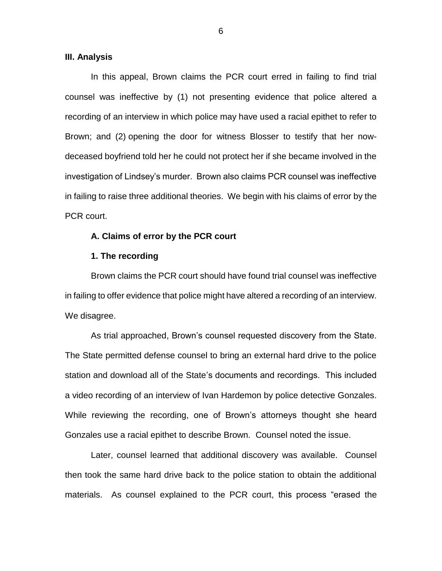#### **III. Analysis**

In this appeal, Brown claims the PCR court erred in failing to find trial counsel was ineffective by (1) not presenting evidence that police altered a recording of an interview in which police may have used a racial epithet to refer to Brown; and (2) opening the door for witness Blosser to testify that her nowdeceased boyfriend told her he could not protect her if she became involved in the investigation of Lindsey's murder. Brown also claims PCR counsel was ineffective in failing to raise three additional theories. We begin with his claims of error by the PCR court.

## **A. Claims of error by the PCR court**

#### **1. The recording**

Brown claims the PCR court should have found trial counsel was ineffective in failing to offer evidence that police might have altered a recording of an interview. We disagree.

As trial approached, Brown's counsel requested discovery from the State. The State permitted defense counsel to bring an external hard drive to the police station and download all of the State's documents and recordings. This included a video recording of an interview of Ivan Hardemon by police detective Gonzales. While reviewing the recording, one of Brown's attorneys thought she heard Gonzales use a racial epithet to describe Brown. Counsel noted the issue.

Later, counsel learned that additional discovery was available. Counsel then took the same hard drive back to the police station to obtain the additional materials. As counsel explained to the PCR court, this process "erased the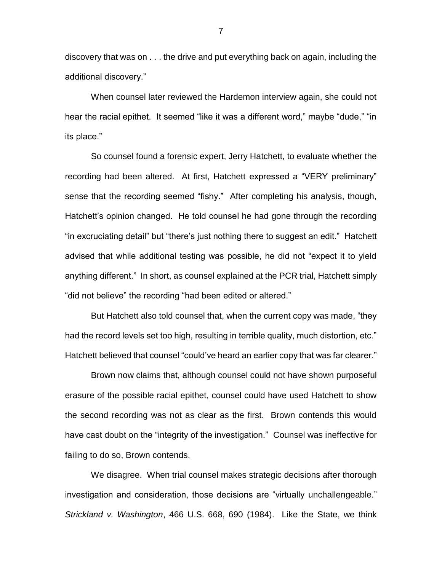discovery that was on . . . the drive and put everything back on again, including the additional discovery."

When counsel later reviewed the Hardemon interview again, she could not hear the racial epithet. It seemed "like it was a different word," maybe "dude," "in its place."

So counsel found a forensic expert, Jerry Hatchett, to evaluate whether the recording had been altered. At first, Hatchett expressed a "VERY preliminary" sense that the recording seemed "fishy." After completing his analysis, though, Hatchett's opinion changed. He told counsel he had gone through the recording "in excruciating detail" but "there's just nothing there to suggest an edit." Hatchett advised that while additional testing was possible, he did not "expect it to yield anything different." In short, as counsel explained at the PCR trial, Hatchett simply "did not believe" the recording "had been edited or altered."

But Hatchett also told counsel that, when the current copy was made, "they had the record levels set too high, resulting in terrible quality, much distortion, etc." Hatchett believed that counsel "could've heard an earlier copy that was far clearer."

Brown now claims that, although counsel could not have shown purposeful erasure of the possible racial epithet, counsel could have used Hatchett to show the second recording was not as clear as the first. Brown contends this would have cast doubt on the "integrity of the investigation." Counsel was ineffective for failing to do so, Brown contends.

We disagree. When trial counsel makes strategic decisions after thorough investigation and consideration, those decisions are "virtually unchallengeable." *Strickland v. Washington*, 466 U.S. 668, 690 (1984). Like the State, we think

7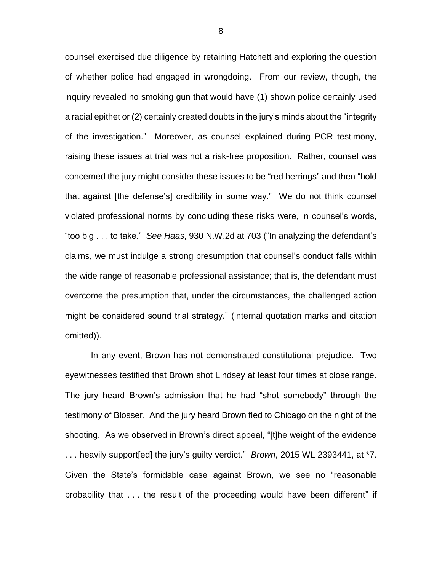counsel exercised due diligence by retaining Hatchett and exploring the question of whether police had engaged in wrongdoing. From our review, though, the inquiry revealed no smoking gun that would have (1) shown police certainly used a racial epithet or (2) certainly created doubts in the jury's minds about the "integrity of the investigation." Moreover, as counsel explained during PCR testimony, raising these issues at trial was not a risk-free proposition. Rather, counsel was concerned the jury might consider these issues to be "red herrings" and then "hold that against [the defense's] credibility in some way." We do not think counsel violated professional norms by concluding these risks were, in counsel's words, "too big . . . to take." *See Haas*, 930 N.W.2d at 703 ("In analyzing the defendant's claims, we must indulge a strong presumption that counsel's conduct falls within the wide range of reasonable professional assistance; that is, the defendant must overcome the presumption that, under the circumstances, the challenged action might be considered sound trial strategy." (internal quotation marks and citation omitted)).

In any event, Brown has not demonstrated constitutional prejudice. Two eyewitnesses testified that Brown shot Lindsey at least four times at close range. The jury heard Brown's admission that he had "shot somebody" through the testimony of Blosser. And the jury heard Brown fled to Chicago on the night of the shooting. As we observed in Brown's direct appeal, "[t]he weight of the evidence . . . heavily support[ed] the jury's guilty verdict." *Brown*, 2015 WL 2393441, at \*7. Given the State's formidable case against Brown, we see no "reasonable probability that . . . the result of the proceeding would have been different" if

8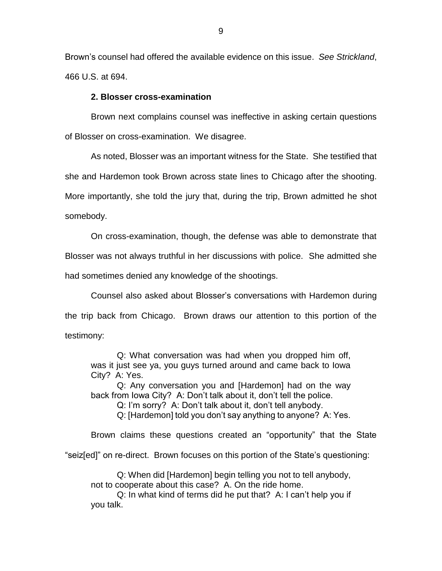Brown's counsel had offered the available evidence on this issue. *See Strickland*, 466 U.S. at 694.

## **2. Blosser cross-examination**

Brown next complains counsel was ineffective in asking certain questions of Blosser on cross-examination. We disagree.

As noted, Blosser was an important witness for the State. She testified that she and Hardemon took Brown across state lines to Chicago after the shooting. More importantly, she told the jury that, during the trip, Brown admitted he shot somebody.

On cross-examination, though, the defense was able to demonstrate that

Blosser was not always truthful in her discussions with police. She admitted she

had sometimes denied any knowledge of the shootings.

Counsel also asked about Blosser's conversations with Hardemon during the trip back from Chicago. Brown draws our attention to this portion of the testimony:

Q: What conversation was had when you dropped him off, was it just see ya, you guys turned around and came back to Iowa City? A: Yes.

Q: Any conversation you and [Hardemon] had on the way back from Iowa City? A: Don't talk about it, don't tell the police.

Q: I'm sorry? A: Don't talk about it, don't tell anybody.

Q: [Hardemon] told you don't say anything to anyone? A: Yes.

Brown claims these questions created an "opportunity" that the State

"seiz[ed]" on re-direct. Brown focuses on this portion of the State's questioning:

Q: When did [Hardemon] begin telling you not to tell anybody, not to cooperate about this case? A. On the ride home.

Q: In what kind of terms did he put that? A: I can't help you if you talk.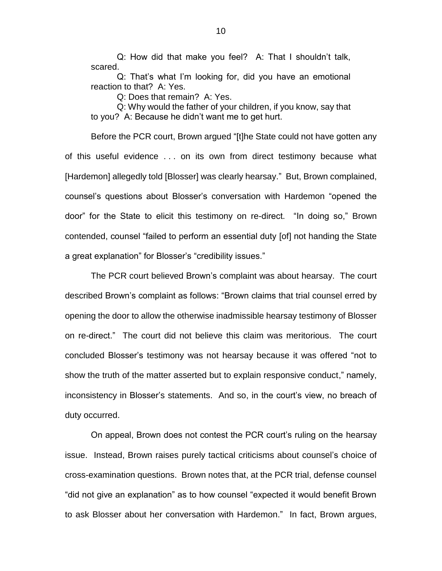Q: How did that make you feel? A: That I shouldn't talk, scared.

Q: That's what I'm looking for, did you have an emotional reaction to that? A: Yes.

Q: Does that remain? A: Yes.

Q: Why would the father of your children, if you know, say that to you? A: Because he didn't want me to get hurt.

Before the PCR court, Brown argued "[t]he State could not have gotten any of this useful evidence . . . on its own from direct testimony because what [Hardemon] allegedly told [Blosser] was clearly hearsay." But, Brown complained, counsel's questions about Blosser's conversation with Hardemon "opened the door" for the State to elicit this testimony on re-direct. "In doing so," Brown contended, counsel "failed to perform an essential duty [of] not handing the State a great explanation" for Blosser's "credibility issues."

The PCR court believed Brown's complaint was about hearsay. The court described Brown's complaint as follows: "Brown claims that trial counsel erred by opening the door to allow the otherwise inadmissible hearsay testimony of Blosser on re-direct." The court did not believe this claim was meritorious. The court concluded Blosser's testimony was not hearsay because it was offered "not to show the truth of the matter asserted but to explain responsive conduct," namely, inconsistency in Blosser's statements. And so, in the court's view, no breach of duty occurred.

On appeal, Brown does not contest the PCR court's ruling on the hearsay issue. Instead, Brown raises purely tactical criticisms about counsel's choice of cross-examination questions. Brown notes that, at the PCR trial, defense counsel "did not give an explanation" as to how counsel "expected it would benefit Brown to ask Blosser about her conversation with Hardemon." In fact, Brown argues,

10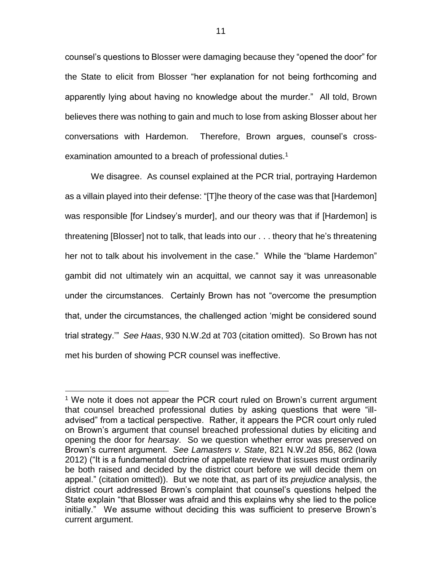counsel's questions to Blosser were damaging because they "opened the door" for the State to elicit from Blosser "her explanation for not being forthcoming and apparently lying about having no knowledge about the murder." All told, Brown believes there was nothing to gain and much to lose from asking Blosser about her conversations with Hardemon. Therefore, Brown argues, counsel's crossexamination amounted to a breach of professional duties.<sup>1</sup>

We disagree. As counsel explained at the PCR trial, portraying Hardemon as a villain played into their defense: "[T]he theory of the case was that [Hardemon] was responsible [for Lindsey's murder], and our theory was that if [Hardemon] is threatening [Blosser] not to talk, that leads into our . . . theory that he's threatening her not to talk about his involvement in the case." While the "blame Hardemon" gambit did not ultimately win an acquittal, we cannot say it was unreasonable under the circumstances. Certainly Brown has not "overcome the presumption that, under the circumstances, the challenged action 'might be considered sound trial strategy.'" *See Haas*, 930 N.W.2d at 703 (citation omitted). So Brown has not met his burden of showing PCR counsel was ineffective.

 $\overline{a}$ 

<sup>&</sup>lt;sup>1</sup> We note it does not appear the PCR court ruled on Brown's current argument that counsel breached professional duties by asking questions that were "illadvised" from a tactical perspective. Rather, it appears the PCR court only ruled on Brown's argument that counsel breached professional duties by eliciting and opening the door for *hearsay*. So we question whether error was preserved on Brown's current argument. *See Lamasters v. State*, 821 N.W.2d 856, 862 (Iowa 2012) ("It is a fundamental doctrine of appellate review that issues must ordinarily be both raised and decided by the district court before we will decide them on appeal." (citation omitted)). But we note that, as part of its *prejudice* analysis, the district court addressed Brown's complaint that counsel's questions helped the State explain "that Blosser was afraid and this explains why she lied to the police initially." We assume without deciding this was sufficient to preserve Brown's current argument.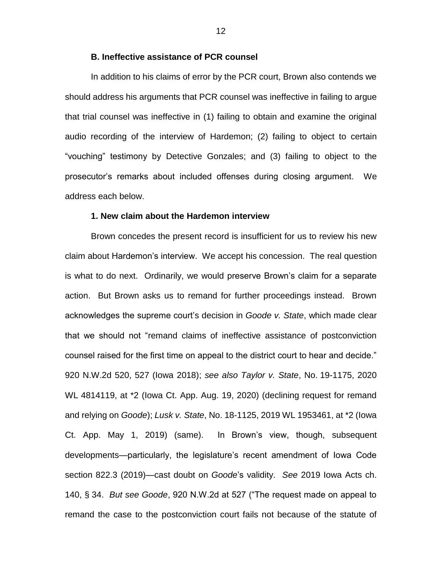#### **B. Ineffective assistance of PCR counsel**

In addition to his claims of error by the PCR court, Brown also contends we should address his arguments that PCR counsel was ineffective in failing to argue that trial counsel was ineffective in (1) failing to obtain and examine the original audio recording of the interview of Hardemon; (2) failing to object to certain "vouching" testimony by Detective Gonzales; and (3) failing to object to the prosecutor's remarks about included offenses during closing argument. We address each below.

## **1. New claim about the Hardemon interview**

Brown concedes the present record is insufficient for us to review his new claim about Hardemon's interview. We accept his concession. The real question is what to do next. Ordinarily, we would preserve Brown's claim for a separate action. But Brown asks us to remand for further proceedings instead. Brown acknowledges the supreme court's decision in *Goode v. State*, which made clear that we should not "remand claims of ineffective assistance of postconviction counsel raised for the first time on appeal to the district court to hear and decide." 920 N.W.2d 520, 527 (Iowa 2018); *see also Taylor v. State*, No. 19-1175, 2020 WL 4814119, at \*2 (Iowa Ct. App. Aug. 19, 2020) (declining request for remand and relying on *Goode*); *Lusk v. State*, No. 18-1125, 2019 WL 1953461, at \*2 (Iowa Ct. App. May 1, 2019) (same). In Brown's view, though, subsequent developments—particularly, the legislature's recent amendment of Iowa Code section 822.3 (2019)—cast doubt on *Goode*'s validity. *See* 2019 Iowa Acts ch. 140, § 34. *But see Goode*, 920 N.W.2d at 527 ("The request made on appeal to remand the case to the postconviction court fails not because of the statute of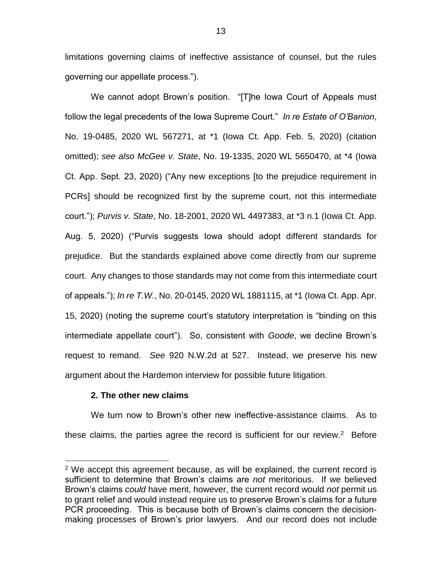limitations governing claims of ineffective assistance of counsel, but the rules governing our appellate process.").

We cannot adopt Brown's position. "[T]he Iowa Court of Appeals must follow the legal precedents of the Iowa Supreme Court." *In re Estate of O'Banion*, No. 19-0485, 2020 WL 567271, at \*1 (Iowa Ct. App. Feb. 5, 2020) (citation omitted); *see also McGee v. State*, No. 19-1335, 2020 WL 5650470, at \*4 (Iowa Ct. App. Sept. 23, 2020) ("Any new exceptions [to the prejudice requirement in PCRs] should be recognized first by the supreme court, not this intermediate court."); *Purvis v. State*, No. 18-2001, 2020 WL 4497383, at \*3 n.1 (Iowa Ct. App. Aug. 5, 2020) ("Purvis suggests Iowa should adopt different standards for prejudice. But the standards explained above come directly from our supreme court. Any changes to those standards may not come from this intermediate court of appeals."); *In re T.W.*, No. 20-0145, 2020 WL 1881115, at \*1 (Iowa Ct. App. Apr. 15, 2020) (noting the supreme court's statutory interpretation is "binding on this intermediate appellate court"). So, consistent with *Goode*, we decline Brown's request to remand. *See* 920 N.W.2d at 527. Instead, we preserve his new argument about the Hardemon interview for possible future litigation.

#### **2. The other new claims**

 $\overline{a}$ 

We turn now to Brown's other new ineffective-assistance claims. As to these claims, the parties agree the record is sufficient for our review.<sup>2</sup> Before

 $2$  We accept this agreement because, as will be explained, the current record is sufficient to determine that Brown's claims are *not* meritorious. If we believed Brown's claims *could* have merit, however, the current record would *not* permit us to grant relief and would instead require us to preserve Brown's claims for a future PCR proceeding. This is because both of Brown's claims concern the decisionmaking processes of Brown's prior lawyers. And our record does not include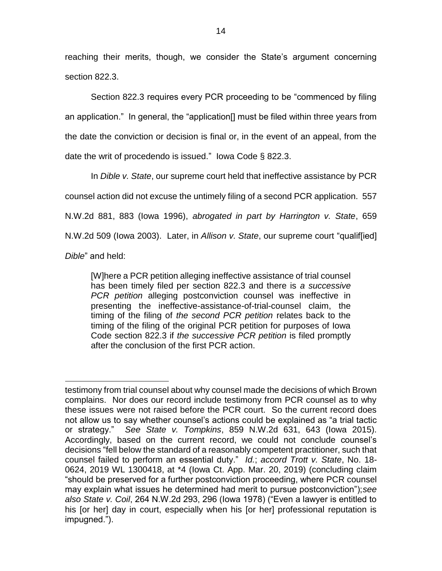reaching their merits, though, we consider the State's argument concerning section 822.3.

Section 822.3 requires every PCR proceeding to be "commenced by filing an application." In general, the "application[] must be filed within three years from the date the conviction or decision is final or, in the event of an appeal, from the date the writ of procedendo is issued." Iowa Code § 822.3.

In *Dible v. State*, our supreme court held that ineffective assistance by PCR counsel action did not excuse the untimely filing of a second PCR application. 557 N.W.2d 881, 883 (Iowa 1996), *abrogated in part by Harrington v. State*, 659 N.W.2d 509 (Iowa 2003). Later, in *Allison v. State*, our supreme court "qualif[ied] *Dible*" and held:

[W]here a PCR petition alleging ineffective assistance of trial counsel has been timely filed per section 822.3 and there is *a successive PCR petition* alleging postconviction counsel was ineffective in presenting the ineffective-assistance-of-trial-counsel claim, the timing of the filing of *the second PCR petition* relates back to the timing of the filing of the original PCR petition for purposes of Iowa Code section 822.3 if *the successive PCR petition* is filed promptly after the conclusion of the first PCR action.

 $\overline{a}$ testimony from trial counsel about why counsel made the decisions of which Brown complains. Nor does our record include testimony from PCR counsel as to why these issues were not raised before the PCR court. So the current record does not allow us to say whether counsel's actions could be explained as "a trial tactic or strategy." *See State v. Tompkins*, 859 N.W.2d 631, 643 (Iowa 2015). Accordingly, based on the current record, we could not conclude counsel's decisions "fell below the standard of a reasonably competent practitioner, such that counsel failed to perform an essential duty." *Id.*; *accord Trott v. State*, No. 18- 0624, 2019 WL 1300418, at \*4 (Iowa Ct. App. Mar. 20, 2019) (concluding claim "should be preserved for a further postconviction proceeding, where PCR counsel may explain what issues he determined had merit to pursue postconviction");*see also State v. Coil*, 264 N.W.2d 293, 296 (Iowa 1978) ("Even a lawyer is entitled to his [or her] day in court, especially when his [or her] professional reputation is impugned.").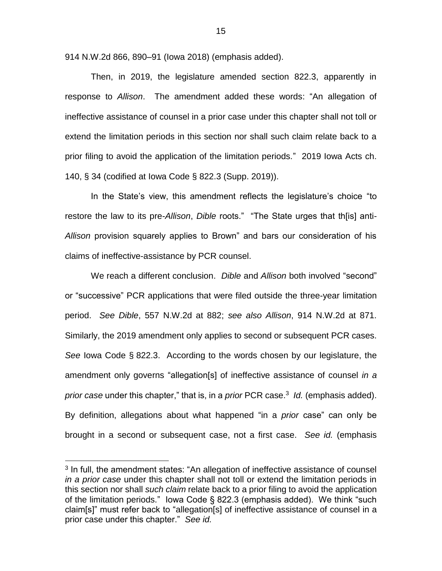914 N.W.2d 866, 890–91 (Iowa 2018) (emphasis added).

Then, in 2019, the legislature amended section 822.3, apparently in response to *Allison*. The amendment added these words: "An allegation of ineffective assistance of counsel in a prior case under this chapter shall not toll or extend the limitation periods in this section nor shall such claim relate back to a prior filing to avoid the application of the limitation periods." 2019 Iowa Acts ch. 140, § 34 (codified at Iowa Code § 822.3 (Supp. 2019)).

In the State's view, this amendment reflects the legislature's choice "to restore the law to its pre-*Allison*, *Dible* roots." "The State urges that th[is] anti-*Allison* provision squarely applies to Brown" and bars our consideration of his claims of ineffective-assistance by PCR counsel.

We reach a different conclusion. *Dible* and *Allison* both involved "second" or "successive" PCR applications that were filed outside the three-year limitation period. *See Dible*, 557 N.W.2d at 882; *see also Allison*, 914 N.W.2d at 871. Similarly, the 2019 amendment only applies to second or subsequent PCR cases. *See* Iowa Code § 822.3. According to the words chosen by our legislature, the amendment only governs "allegation[s] of ineffective assistance of counsel *in a prior case* under this chapter," that is, in a *prior* PCR case.<sup>3</sup> *Id.* (emphasis added). By definition, allegations about what happened "in a *prior* case" can only be brought in a second or subsequent case, not a first case. *See id.* (emphasis

 $\overline{a}$ 

<sup>&</sup>lt;sup>3</sup> In full, the amendment states: "An allegation of ineffective assistance of counsel *in a prior case* under this chapter shall not toll or extend the limitation periods in this section nor shall *such claim* relate back to a prior filing to avoid the application of the limitation periods." Iowa Code § 822.3 (emphasis added). We think "such claim[s]" must refer back to "allegation[s] of ineffective assistance of counsel in a prior case under this chapter." *See id.*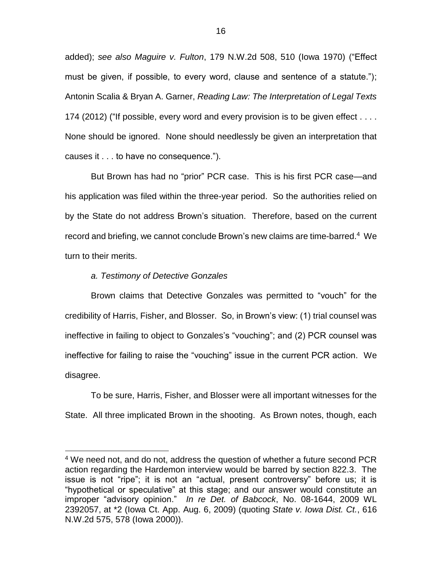added); *see also Maguire v. Fulton*, 179 N.W.2d 508, 510 (Iowa 1970) ("Effect must be given, if possible, to every word, clause and sentence of a statute."); Antonin Scalia & Bryan A. Garner, *Reading Law: The Interpretation of Legal Texts* 174 (2012) ("If possible, every word and every provision is to be given effect . . . . None should be ignored. None should needlessly be given an interpretation that causes it . . . to have no consequence.").

But Brown has had no "prior" PCR case. This is his first PCR case—and his application was filed within the three-year period. So the authorities relied on by the State do not address Brown's situation. Therefore, based on the current record and briefing, we cannot conclude Brown's new claims are time-barred.<sup>4</sup> We turn to their merits.

## *a. Testimony of Detective Gonzales*

 $\overline{a}$ 

Brown claims that Detective Gonzales was permitted to "vouch" for the credibility of Harris, Fisher, and Blosser. So, in Brown's view: (1) trial counsel was ineffective in failing to object to Gonzales's "vouching"; and (2) PCR counsel was ineffective for failing to raise the "vouching" issue in the current PCR action. We disagree.

To be sure, Harris, Fisher, and Blosser were all important witnesses for the State. All three implicated Brown in the shooting. As Brown notes, though, each

<sup>&</sup>lt;sup>4</sup> We need not, and do not, address the question of whether a future second PCR action regarding the Hardemon interview would be barred by section 822.3. The issue is not "ripe"; it is not an "actual, present controversy" before us; it is "hypothetical or speculative" at this stage; and our answer would constitute an improper "advisory opinion." *In re Det. of Babcock*, No. 08-1644, 2009 WL 2392057, at \*2 (Iowa Ct. App. Aug. 6, 2009) (quoting *State v. Iowa Dist. Ct.*, 616 N.W.2d 575, 578 (Iowa 2000)).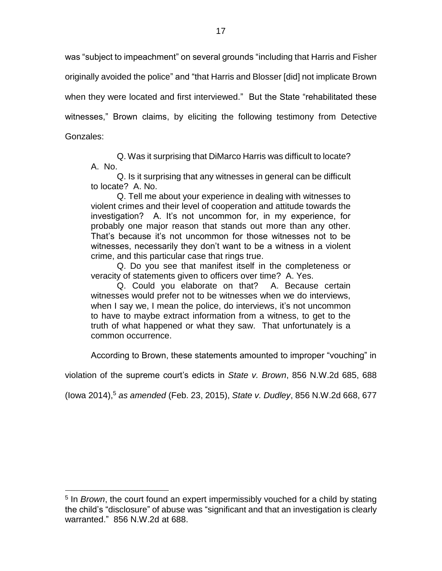was "subject to impeachment" on several grounds "including that Harris and Fisher originally avoided the police" and "that Harris and Blosser [did] not implicate Brown when they were located and first interviewed." But the State "rehabilitated these witnesses," Brown claims, by eliciting the following testimony from Detective Gonzales:

Q. Was it surprising that DiMarco Harris was difficult to locate? A. No.

Q. Is it surprising that any witnesses in general can be difficult to locate? A. No.

Q. Tell me about your experience in dealing with witnesses to violent crimes and their level of cooperation and attitude towards the investigation? A. It's not uncommon for, in my experience, for probably one major reason that stands out more than any other. That's because it's not uncommon for those witnesses not to be witnesses, necessarily they don't want to be a witness in a violent crime, and this particular case that rings true.

Q. Do you see that manifest itself in the completeness or veracity of statements given to officers over time? A. Yes.

Q. Could you elaborate on that? A. Because certain witnesses would prefer not to be witnesses when we do interviews, when I say we, I mean the police, do interviews, it's not uncommon to have to maybe extract information from a witness, to get to the truth of what happened or what they saw. That unfortunately is a common occurrence.

According to Brown, these statements amounted to improper "vouching" in

violation of the supreme court's edicts in *State v. Brown*, 856 N.W.2d 685, 688

(Iowa 2014),<sup>5</sup> *as amended* (Feb. 23, 2015), *State v. Dudley*, 856 N.W.2d 668, 677

 $\overline{a}$ 

<sup>5</sup> In *Brown*, the court found an expert impermissibly vouched for a child by stating the child's "disclosure" of abuse was "significant and that an investigation is clearly warranted." 856 N.W.2d at 688.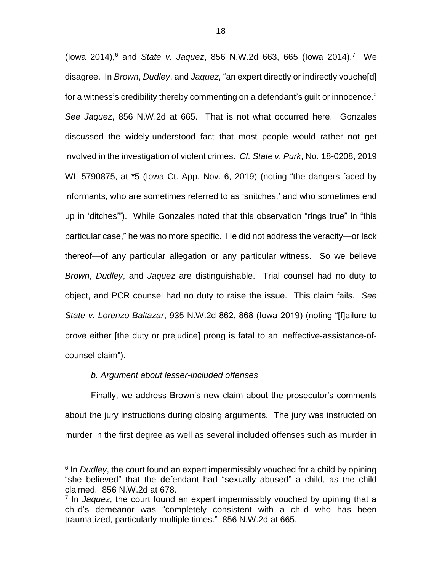(lowa 2014),<sup>6</sup> and *State v. Jaquez*, 856 N.W.2d 663, 665 (lowa 2014).<sup>7</sup> We disagree. In *Brown*, *Dudley*, and *Jaquez*, "an expert directly or indirectly vouche[d] for a witness's credibility thereby commenting on a defendant's guilt or innocence." *See Jaquez*, 856 N.W.2d at 665. That is not what occurred here. Gonzales discussed the widely-understood fact that most people would rather not get involved in the investigation of violent crimes. *Cf. State v. Purk*, No. 18-0208, 2019 WL 5790875, at \*5 (Iowa Ct. App. Nov. 6, 2019) (noting "the dangers faced by informants, who are sometimes referred to as 'snitches,' and who sometimes end up in 'ditches'"). While Gonzales noted that this observation "rings true" in "this particular case," he was no more specific. He did not address the veracity—or lack thereof—of any particular allegation or any particular witness. So we believe *Brown*, *Dudley*, and *Jaquez* are distinguishable. Trial counsel had no duty to object, and PCR counsel had no duty to raise the issue. This claim fails. *See State v. Lorenzo Baltazar*, 935 N.W.2d 862, 868 (Iowa 2019) (noting "[f]ailure to prove either [the duty or prejudice] prong is fatal to an ineffective-assistance-ofcounsel claim").

# *b. Argument about lesser-included offenses*

 $\overline{a}$ 

Finally, we address Brown's new claim about the prosecutor's comments about the jury instructions during closing arguments. The jury was instructed on murder in the first degree as well as several included offenses such as murder in

<sup>&</sup>lt;sup>6</sup> In *Dudley*, the court found an expert impermissibly vouched for a child by opining "she believed" that the defendant had "sexually abused" a child, as the child claimed. 856 N.W.2d at 678.

<sup>7</sup> In *Jaquez*, the court found an expert impermissibly vouched by opining that a child's demeanor was "completely consistent with a child who has been traumatized, particularly multiple times." 856 N.W.2d at 665.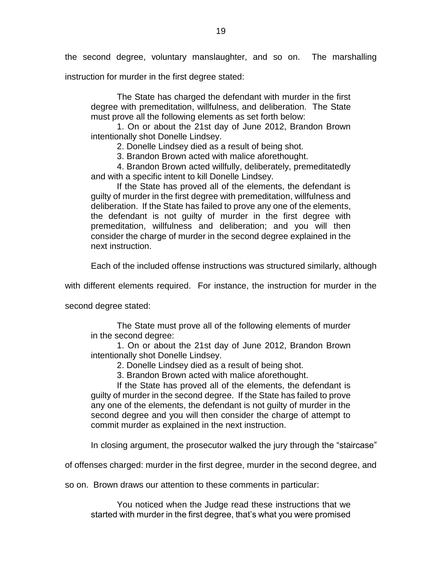the second degree, voluntary manslaughter, and so on. The marshalling

instruction for murder in the first degree stated:

The State has charged the defendant with murder in the first degree with premeditation, willfulness, and deliberation. The State must prove all the following elements as set forth below:

1. On or about the 21st day of June 2012, Brandon Brown intentionally shot Donelle Lindsey.

2. Donelle Lindsey died as a result of being shot.

3. Brandon Brown acted with malice aforethought.

4. Brandon Brown acted willfully, deliberately, premeditatedly and with a specific intent to kill Donelle Lindsey.

If the State has proved all of the elements, the defendant is guilty of murder in the first degree with premeditation, willfulness and deliberation. If the State has failed to prove any one of the elements, the defendant is not guilty of murder in the first degree with premeditation, willfulness and deliberation; and you will then consider the charge of murder in the second degree explained in the next instruction.

Each of the included offense instructions was structured similarly, although

with different elements required. For instance, the instruction for murder in the

second degree stated:

The State must prove all of the following elements of murder in the second degree:

1. On or about the 21st day of June 2012, Brandon Brown intentionally shot Donelle Lindsey.

2. Donelle Lindsey died as a result of being shot.

3. Brandon Brown acted with malice aforethought.

If the State has proved all of the elements, the defendant is guilty of murder in the second degree. If the State has failed to prove any one of the elements, the defendant is not guilty of murder in the second degree and you will then consider the charge of attempt to commit murder as explained in the next instruction.

In closing argument, the prosecutor walked the jury through the "staircase"

of offenses charged: murder in the first degree, murder in the second degree, and

so on. Brown draws our attention to these comments in particular:

You noticed when the Judge read these instructions that we started with murder in the first degree, that's what you were promised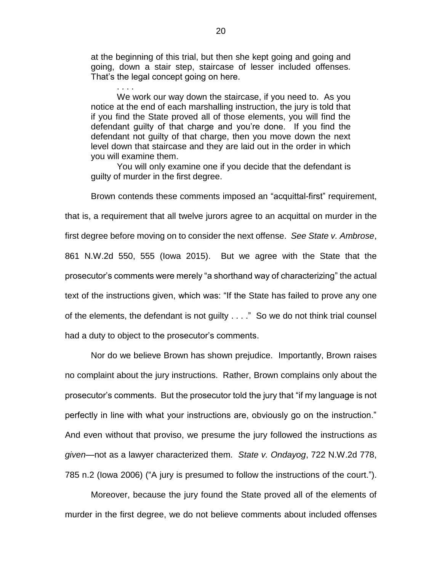at the beginning of this trial, but then she kept going and going and going, down a stair step, staircase of lesser included offenses. That's the legal concept going on here.

. . . .

We work our way down the staircase, if you need to. As you notice at the end of each marshalling instruction, the jury is told that if you find the State proved all of those elements, you will find the defendant guilty of that charge and you're done. If you find the defendant not guilty of that charge, then you move down the next level down that staircase and they are laid out in the order in which you will examine them.

You will only examine one if you decide that the defendant is guilty of murder in the first degree.

Brown contends these comments imposed an "acquittal-first" requirement, that is, a requirement that all twelve jurors agree to an acquittal on murder in the first degree before moving on to consider the next offense. *See State v. Ambrose*, 861 N.W.2d 550, 555 (Iowa 2015). But we agree with the State that the prosecutor's comments were merely "a shorthand way of characterizing" the actual text of the instructions given, which was: "If the State has failed to prove any one of the elements, the defendant is not guilty . . . ." So we do not think trial counsel had a duty to object to the prosecutor's comments.

Nor do we believe Brown has shown prejudice. Importantly, Brown raises no complaint about the jury instructions. Rather, Brown complains only about the prosecutor's comments. But the prosecutor told the jury that "if my language is not perfectly in line with what your instructions are, obviously go on the instruction." And even without that proviso, we presume the jury followed the instructions *as given*—not as a lawyer characterized them. *State v. Ondayog*, 722 N.W.2d 778, 785 n.2 (Iowa 2006) ("A jury is presumed to follow the instructions of the court.").

Moreover, because the jury found the State proved all of the elements of murder in the first degree, we do not believe comments about included offenses